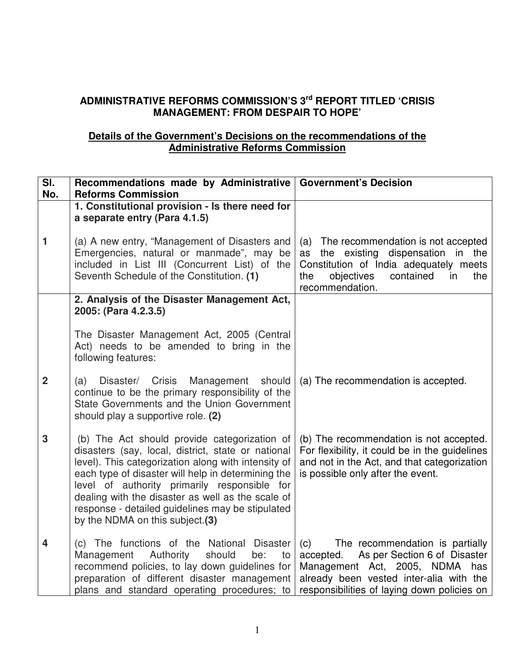## **ADMINISTRATIVE REFORMS COMMISSION'S 3rd REPORT TITLED 'CRISIS MANAGEMENT: FROM DESPAIR TO HOPE'**

## **Details of the Government's Decisions on the recommendations of the Administrative Reforms Commission**

| $\overline{\mathsf{SI}}$ . | Recommendations made by Administrative   Government's Decision                                                                                                                                                                                                                                                                                                                                              |                                                                                                                                                                                                                    |  |
|----------------------------|-------------------------------------------------------------------------------------------------------------------------------------------------------------------------------------------------------------------------------------------------------------------------------------------------------------------------------------------------------------------------------------------------------------|--------------------------------------------------------------------------------------------------------------------------------------------------------------------------------------------------------------------|--|
| No.                        | <b>Reforms Commission</b>                                                                                                                                                                                                                                                                                                                                                                                   |                                                                                                                                                                                                                    |  |
|                            | 1. Constitutional provision - Is there need for<br>a separate entry (Para 4.1.5)                                                                                                                                                                                                                                                                                                                            |                                                                                                                                                                                                                    |  |
| 1                          | (a) A new entry, "Management of Disasters and<br>Emergencies, natural or manmade", may be<br>included in List III (Concurrent List) of the<br>Seventh Schedule of the Constitution. (1)                                                                                                                                                                                                                     | (a) The recommendation is not accepted<br>the existing dispensation in the<br>as<br>Constitution of India adequately meets<br>objectives<br>contained<br>the<br>the<br>in<br>recommendation.                       |  |
|                            | 2. Analysis of the Disaster Management Act,<br>2005: (Para 4.2.3.5)                                                                                                                                                                                                                                                                                                                                         |                                                                                                                                                                                                                    |  |
|                            | The Disaster Management Act, 2005 (Central<br>Act) needs to be amended to bring in the<br>following features:                                                                                                                                                                                                                                                                                               |                                                                                                                                                                                                                    |  |
| $\overline{2}$             | Disaster/ Crisis<br>Management should<br>(a)<br>continue to be the primary responsibility of the<br>State Governments and the Union Government<br>should play a supportive role. (2)                                                                                                                                                                                                                        | (a) The recommendation is accepted.                                                                                                                                                                                |  |
| 3                          | (b) The Act should provide categorization of<br>disasters (say, local, district, state or national<br>level). This categorization along with intensity of<br>each type of disaster will help in determining the<br>level of authority primarily responsible for<br>dealing with the disaster as well as the scale of<br>response - detailed guidelines may be stipulated<br>by the NDMA on this subject.(3) | (b) The recommendation is not accepted.<br>For flexibility, it could be in the guidelines<br>and not in the Act, and that categorization<br>is possible only after the event.                                      |  |
| $\overline{\mathbf{4}}$    | (c) The functions of the National Disaster<br>Authority<br>should<br>Management<br>be:<br>to<br>recommend policies, to lay down guidelines for<br>preparation of different disaster management<br>plans and standard operating procedures; to                                                                                                                                                               | (c)<br>The recommendation is partially<br>As per Section 6 of Disaster<br>accepted.<br>Management Act, 2005, NDMA<br>has<br>already been vested inter-alia with the<br>responsibilities of laying down policies on |  |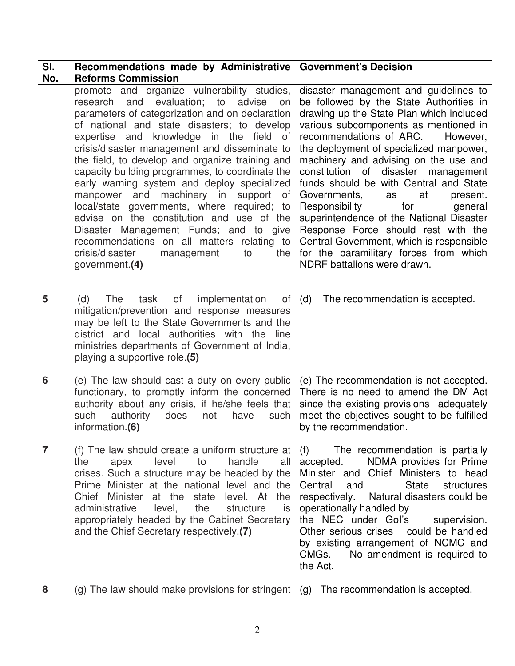| SI.            | Recommendations made by Administrative                                                                                                                                                                                                                                                                                                                                                                                                                                                                                                                                                                                                                                                                                                          | <b>Government's Decision</b>                                                                                                                                                                                                                                                                                                                                                                                                                                                                                                                                                                                                                                                   |
|----------------|-------------------------------------------------------------------------------------------------------------------------------------------------------------------------------------------------------------------------------------------------------------------------------------------------------------------------------------------------------------------------------------------------------------------------------------------------------------------------------------------------------------------------------------------------------------------------------------------------------------------------------------------------------------------------------------------------------------------------------------------------|--------------------------------------------------------------------------------------------------------------------------------------------------------------------------------------------------------------------------------------------------------------------------------------------------------------------------------------------------------------------------------------------------------------------------------------------------------------------------------------------------------------------------------------------------------------------------------------------------------------------------------------------------------------------------------|
| No.            | <b>Reforms Commission</b>                                                                                                                                                                                                                                                                                                                                                                                                                                                                                                                                                                                                                                                                                                                       |                                                                                                                                                                                                                                                                                                                                                                                                                                                                                                                                                                                                                                                                                |
|                | promote and organize vulnerability studies,<br>evaluation; to<br>research<br>and<br>advise<br>on<br>parameters of categorization and on declaration<br>of national and state disasters; to develop<br>expertise and knowledge in the field of<br>crisis/disaster management and disseminate to<br>the field, to develop and organize training and<br>capacity building programmes, to coordinate the<br>early warning system and deploy specialized<br>manpower and machinery in support of<br>local/state governments, where required; to<br>advise on the constitution and use of the<br>Disaster Management Funds; and to give<br>recommendations on all matters relating to<br>crisis/disaster<br>management<br>the<br>to<br>government.(4) | disaster management and guidelines to<br>be followed by the State Authorities in<br>drawing up the State Plan which included<br>various subcomponents as mentioned in<br>recommendations of ARC.<br>However,<br>the deployment of specialized manpower,<br>machinery and advising on the use and<br>constitution<br>disaster<br>of<br>management<br>funds should be with Central and State<br>Governments,<br>at<br>present.<br>as<br>for<br>Responsibility<br>general<br>superintendence of the National Disaster<br>Response Force should rest with the<br>Central Government, which is responsible<br>for the paramilitary forces from which<br>NDRF battalions were drawn. |
| 5              | (d)<br>The<br>task<br>of<br>implementation<br>of<br>mitigation/prevention and response measures<br>may be left to the State Governments and the<br>district and local authorities with the line<br>ministries departments of Government of India,<br>playing a supportive role.(5)                                                                                                                                                                                                                                                                                                                                                                                                                                                              | The recommendation is accepted.<br>(d)                                                                                                                                                                                                                                                                                                                                                                                                                                                                                                                                                                                                                                         |
| 6              | (e) The law should cast a duty on every public<br>functionary, to promptly inform the concerned<br>authority about any crisis, if he/she feels that<br>such<br>authority<br>does<br>not<br>have<br>such<br>information.(6)                                                                                                                                                                                                                                                                                                                                                                                                                                                                                                                      | (e) The recommendation is not accepted.<br>There is no need to amend the DM Act<br>since the existing provisions adequately<br>meet the objectives sought to be fulfilled<br>by the recommendation.                                                                                                                                                                                                                                                                                                                                                                                                                                                                            |
| $\overline{7}$ | (f) The law should create a uniform structure at<br>the<br>level<br>to<br>handle<br>all<br>apex<br>crises. Such a structure may be headed by the<br>Prime Minister at the national level and the<br>Chief Minister at the state level. At the<br>administrative<br>the<br>level,<br>structure<br>is<br>appropriately headed by the Cabinet Secretary<br>and the Chief Secretary respectively.(7)                                                                                                                                                                                                                                                                                                                                                | (f)<br>The recommendation is partially<br>NDMA provides for Prime<br>accepted.<br>Minister and Chief Ministers to head<br>Central<br><b>State</b><br>structures<br>and<br>respectively. Natural disasters could be<br>operationally handled by<br>the NEC under Gol's<br>supervision.<br>Other serious crises could be handled<br>by existing arrangement of NCMC and<br>CMGs.<br>No amendment is required to<br>the Act.                                                                                                                                                                                                                                                      |
| 8              | (g) The law should make provisions for stringent                                                                                                                                                                                                                                                                                                                                                                                                                                                                                                                                                                                                                                                                                                | (g) The recommendation is accepted.                                                                                                                                                                                                                                                                                                                                                                                                                                                                                                                                                                                                                                            |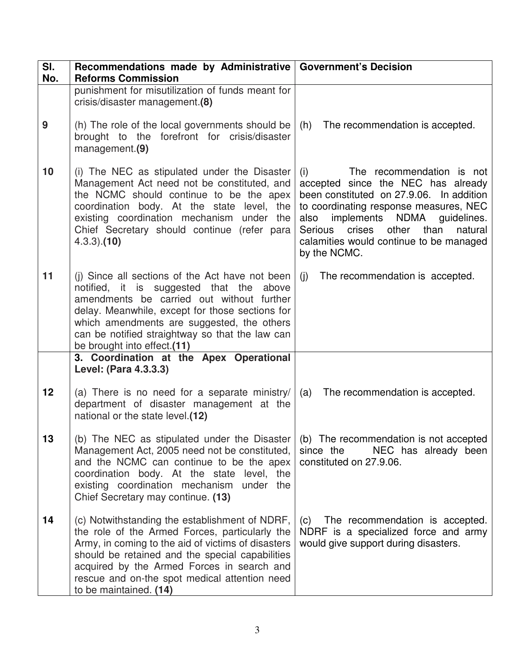| SI.<br>No. | Recommendations made by Administrative   Government's Decision<br><b>Reforms Commission</b>                                                                                                                                                                                                                                        |                                                                                                                                                                                                                                                                                                                 |  |
|------------|------------------------------------------------------------------------------------------------------------------------------------------------------------------------------------------------------------------------------------------------------------------------------------------------------------------------------------|-----------------------------------------------------------------------------------------------------------------------------------------------------------------------------------------------------------------------------------------------------------------------------------------------------------------|--|
|            | punishment for misutilization of funds meant for<br>crisis/disaster management.(8)                                                                                                                                                                                                                                                 |                                                                                                                                                                                                                                                                                                                 |  |
| 9          | (h) The role of the local governments should be<br>brought to the forefront for crisis/disaster<br>management.(9)                                                                                                                                                                                                                  | (h)<br>The recommendation is accepted.                                                                                                                                                                                                                                                                          |  |
| 10         | (i) The NEC as stipulated under the Disaster<br>Management Act need not be constituted, and<br>the NCMC should continue to be the apex<br>coordination body. At the state level, the<br>existing coordination mechanism under the<br>Chief Secretary should continue (refer para<br>$(4.3.3)$ . $(10)$                             | The recommendation is not<br>(i)<br>accepted since the NEC has already<br>been constituted on 27.9.06. In addition<br>to coordinating response measures, NEC<br>implements NDMA<br>guidelines.<br>also<br>other than<br>Serious<br>crises<br>natural<br>calamities would continue to be managed<br>by the NCMC. |  |
| 11         | (i) Since all sections of the Act have not been<br>notified, it is suggested that the above<br>amendments be carried out without further<br>delay. Meanwhile, except for those sections for<br>which amendments are suggested, the others<br>can be notified straightway so that the law can<br>be brought into effect.(11)        | (i)<br>The recommendation is accepted.                                                                                                                                                                                                                                                                          |  |
|            | 3. Coordination at the Apex Operational<br>Level: (Para 4.3.3.3)                                                                                                                                                                                                                                                                   |                                                                                                                                                                                                                                                                                                                 |  |
| 12         | (a) There is no need for a separate ministry/<br>department of disaster management at the<br>national or the state level.(12)                                                                                                                                                                                                      | The recommendation is accepted.<br>(a)                                                                                                                                                                                                                                                                          |  |
| 13         | (b) The NEC as stipulated under the Disaster<br>Management Act, 2005 need not be constituted,<br>and the NCMC can continue to be the apex<br>coordination body. At the state level, the<br>existing coordination mechanism<br>under the<br>Chief Secretary may continue. (13)                                                      | (b) The recommendation is not accepted<br>NEC has already been<br>since the<br>constituted on 27.9.06.                                                                                                                                                                                                          |  |
| 14         | (c) Notwithstanding the establishment of NDRF,<br>the role of the Armed Forces, particularly the<br>Army, in coming to the aid of victims of disasters<br>should be retained and the special capabilities<br>acquired by the Armed Forces in search and<br>rescue and on-the spot medical attention need<br>to be maintained. (14) | The recommendation is accepted.<br>(C)<br>NDRF is a specialized force and army<br>would give support during disasters.                                                                                                                                                                                          |  |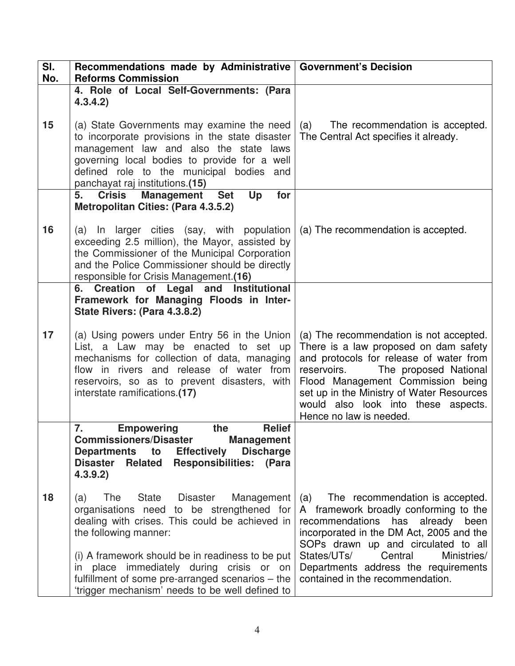| SI.<br>No. | Recommendations made by Administrative   Government's Decision<br><b>Reforms Commission</b>                                                                                                                                                                            |                                                                                                                                                                                                                                                                                                                         |  |
|------------|------------------------------------------------------------------------------------------------------------------------------------------------------------------------------------------------------------------------------------------------------------------------|-------------------------------------------------------------------------------------------------------------------------------------------------------------------------------------------------------------------------------------------------------------------------------------------------------------------------|--|
|            | 4. Role of Local Self-Governments: (Para<br>4.3.4.2)                                                                                                                                                                                                                   |                                                                                                                                                                                                                                                                                                                         |  |
| 15         | (a) State Governments may examine the need<br>to incorporate provisions in the state disaster<br>management law and also the state laws<br>governing local bodies to provide for a well<br>defined role to the municipal bodies and<br>panchayat raj institutions.(15) | The recommendation is accepted.<br>(a)<br>The Central Act specifies it already.                                                                                                                                                                                                                                         |  |
|            | <b>Management</b><br><b>Set</b><br>5.<br><b>Crisis</b><br>Up<br>for<br><b>Metropolitan Cities: (Para 4.3.5.2)</b>                                                                                                                                                      |                                                                                                                                                                                                                                                                                                                         |  |
| 16         | (a) In larger cities (say, with population<br>exceeding 2.5 million), the Mayor, assisted by<br>the Commissioner of the Municipal Corporation<br>and the Police Commissioner should be directly<br>responsible for Crisis Management.(16)                              | (a) The recommendation is accepted.                                                                                                                                                                                                                                                                                     |  |
|            | 6. Creation of Legal and Institutional<br>Framework for Managing Floods in Inter-<br>State Rivers: (Para 4.3.8.2)                                                                                                                                                      |                                                                                                                                                                                                                                                                                                                         |  |
| 17         | (a) Using powers under Entry 56 in the Union<br>List, a Law may be enacted to set up<br>mechanisms for collection of data, managing<br>flow in rivers and release of water from<br>reservoirs, so as to prevent disasters, with<br>interstate ramifications.(17)       | (a) The recommendation is not accepted.<br>There is a law proposed on dam safety<br>and protocols for release of water from<br>The proposed National<br>reservoirs.<br>Flood Management Commission being<br>set up in the Ministry of Water Resources<br>would also look into these aspects.<br>Hence no law is needed. |  |
|            | 7.<br><b>Relief</b><br><b>Empowering</b><br>the<br><b>Commissioners/Disaster</b><br><b>Management</b><br><b>Discharge</b><br>Departments to<br><b>Effectively</b><br><b>Disaster</b><br><b>Responsibilities: (Para</b><br><b>Related</b><br>4.3.9.2)                   |                                                                                                                                                                                                                                                                                                                         |  |
| 18         | State<br><b>Disaster</b><br>The<br>Management<br>(a)<br>organisations need to be strengthened for<br>dealing with crises. This could be achieved in<br>the following manner:                                                                                           | The recommendation is accepted.<br>(a)<br>A framework broadly conforming to the<br>recommendations has<br>already<br>been<br>incorporated in the DM Act, 2005 and the<br>SOPs drawn up and circulated to all                                                                                                            |  |
|            | (i) A framework should be in readiness to be put<br>place immediately during crisis or on<br><i>in</i><br>fulfillment of some pre-arranged scenarios – the<br>'trigger mechanism' needs to be well defined to                                                          | Central<br>States/UTs/<br>Ministries/<br>Departments address the requirements<br>contained in the recommendation.                                                                                                                                                                                                       |  |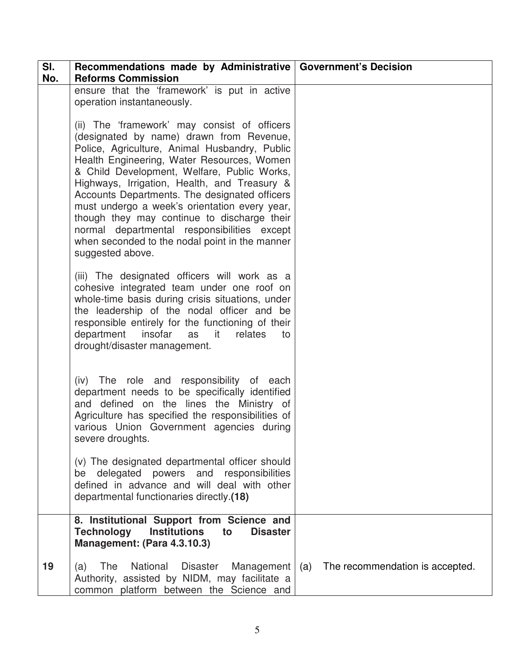| SI.<br>No. | Recommendations made by Administrative   Government's Decision<br><b>Reforms Commission</b>                                                                                                                                                                                                                                                                                                                                                                                                                                                                  |                                        |
|------------|--------------------------------------------------------------------------------------------------------------------------------------------------------------------------------------------------------------------------------------------------------------------------------------------------------------------------------------------------------------------------------------------------------------------------------------------------------------------------------------------------------------------------------------------------------------|----------------------------------------|
|            | ensure that the 'framework' is put in active<br>operation instantaneously.                                                                                                                                                                                                                                                                                                                                                                                                                                                                                   |                                        |
|            | (ii) The 'framework' may consist of officers<br>(designated by name) drawn from Revenue,<br>Police, Agriculture, Animal Husbandry, Public<br>Health Engineering, Water Resources, Women<br>& Child Development, Welfare, Public Works,<br>Highways, Irrigation, Health, and Treasury &<br>Accounts Departments. The designated officers<br>must undergo a week's orientation every year,<br>though they may continue to discharge their<br>normal departmental responsibilities except<br>when seconded to the nodal point in the manner<br>suggested above. |                                        |
|            | (iii) The designated officers will work as a<br>cohesive integrated team under one roof on<br>whole-time basis during crisis situations, under<br>the leadership of the nodal officer and be<br>responsible entirely for the functioning of their<br>department insofar<br>as it<br>relates<br>to<br>drought/disaster management.                                                                                                                                                                                                                            |                                        |
|            | The role and responsibility of each<br>(iv)<br>department needs to be specifically identified<br>and defined on the lines the Ministry of<br>Agriculture has specified the responsibilities of<br>various Union Government agencies during<br>severe droughts.                                                                                                                                                                                                                                                                                               |                                        |
|            | (v) The designated departmental officer should<br>delegated powers and responsibilities<br>be<br>defined in advance and will deal with other<br>departmental functionaries directly.(18)                                                                                                                                                                                                                                                                                                                                                                     |                                        |
|            | 8. Institutional Support from Science and<br><b>Technology</b><br><b>Institutions</b><br><b>Disaster</b><br>to<br>Management: (Para 4.3.10.3)                                                                                                                                                                                                                                                                                                                                                                                                                |                                        |
| 19         | The<br>National<br><b>Disaster</b><br>Management<br>(a)<br>Authority, assisted by NIDM, may facilitate a<br>common platform between the Science and                                                                                                                                                                                                                                                                                                                                                                                                          | The recommendation is accepted.<br>(a) |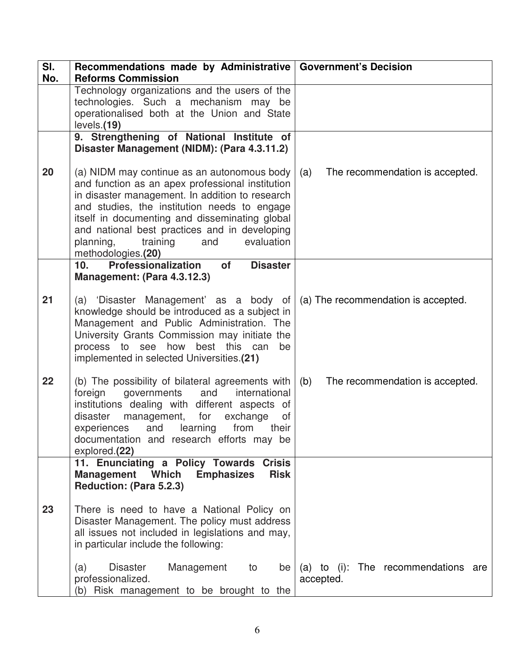| SI.<br>No. | Recommendations made by Administrative   Government's Decision<br><b>Reforms Commission</b>                                                                                                                                                                                                                                                                               |                                                     |
|------------|---------------------------------------------------------------------------------------------------------------------------------------------------------------------------------------------------------------------------------------------------------------------------------------------------------------------------------------------------------------------------|-----------------------------------------------------|
|            | Technology organizations and the users of the<br>technologies. Such a mechanism may be<br>operationalised both at the Union and State<br>levels.(19)                                                                                                                                                                                                                      |                                                     |
|            | 9. Strengthening of National Institute of<br>Disaster Management (NIDM): (Para 4.3.11.2)                                                                                                                                                                                                                                                                                  |                                                     |
| 20         | (a) NIDM may continue as an autonomous body<br>and function as an apex professional institution<br>in disaster management. In addition to research<br>and studies, the institution needs to engage<br>itself in documenting and disseminating global<br>and national best practices and in developing<br>training<br>planning,<br>and<br>evaluation<br>methodologies.(20) | The recommendation is accepted.<br>(a)              |
|            | Professionalization<br>10.<br>of<br><b>Disaster</b><br>Management: (Para 4.3.12.3)                                                                                                                                                                                                                                                                                        |                                                     |
| 21         | (a) 'Disaster Management' as a body of<br>knowledge should be introduced as a subject in<br>Management and Public Administration. The<br>University Grants Commission may initiate the<br>process to see how best this can<br>be<br>implemented in selected Universities.(21)                                                                                             | (a) The recommendation is accepted.                 |
| 22         | (b) The possibility of bilateral agreements with<br>governments<br>international<br>foreign<br>and<br>institutions dealing with different aspects of<br>disaster<br>management,<br>for<br>exchange<br>of<br>learning<br>experiences<br>and<br>from<br>their<br>documentation and research efforts may be<br>explored.(22)                                                 | (b)<br>The recommendation is accepted.              |
|            | 11. Enunciating a Policy Towards Crisis<br><b>Management</b><br>Which<br><b>Emphasizes</b><br><b>Risk</b><br>Reduction: (Para 5.2.3)                                                                                                                                                                                                                                      |                                                     |
| 23         | There is need to have a National Policy on<br>Disaster Management. The policy must address<br>all issues not included in legislations and may,<br>in particular include the following:                                                                                                                                                                                    |                                                     |
|            | Disaster<br>Management<br>(a)<br>be<br>to<br>professionalized.<br>(b) Risk management to be brought to the                                                                                                                                                                                                                                                                | The recommendations are<br>(a) to (i):<br>accepted. |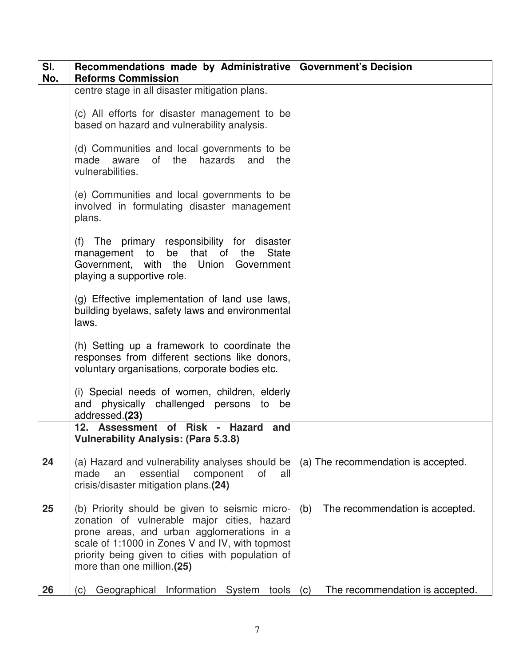| SI.<br>No. | Recommendations made by Administrative   Government's Decision<br><b>Reforms Commission</b>                                                                                                                                                                                       |                                        |
|------------|-----------------------------------------------------------------------------------------------------------------------------------------------------------------------------------------------------------------------------------------------------------------------------------|----------------------------------------|
|            | centre stage in all disaster mitigation plans.                                                                                                                                                                                                                                    |                                        |
|            | (c) All efforts for disaster management to be<br>based on hazard and vulnerability analysis.                                                                                                                                                                                      |                                        |
|            | (d) Communities and local governments to be<br>of l<br>the<br>hazards<br>made<br>aware<br>and<br>the<br>vulnerabilities.                                                                                                                                                          |                                        |
|            | (e) Communities and local governments to be<br>involved in formulating disaster management<br>plans.                                                                                                                                                                              |                                        |
|            | (f) The primary responsibility for disaster<br>that<br><b>State</b><br>management to<br>be<br>of<br>the<br>Government, with the<br>Union<br>Government<br>playing a supportive role.                                                                                              |                                        |
|            | (g) Effective implementation of land use laws,<br>building byelaws, safety laws and environmental<br>laws.                                                                                                                                                                        |                                        |
|            | (h) Setting up a framework to coordinate the<br>responses from different sections like donors,<br>voluntary organisations, corporate bodies etc.                                                                                                                                  |                                        |
|            | (i) Special needs of women, children, elderly<br>and physically challenged persons to be<br>addressed.(23)                                                                                                                                                                        |                                        |
|            | 12. Assessment of Risk -<br>Hazard<br>and<br><b>Vulnerability Analysis: (Para 5.3.8)</b>                                                                                                                                                                                          |                                        |
| 24         | (a) Hazard and vulnerability analyses should be<br>essential<br>made<br>an<br>of<br>component<br>all<br>crisis/disaster mitigation plans.(24)                                                                                                                                     | (a) The recommendation is accepted.    |
| 25         | (b) Priority should be given to seismic micro-<br>zonation of vulnerable major cities, hazard<br>prone areas, and urban agglomerations in a<br>scale of 1:1000 in Zones V and IV, with topmost<br>priority being given to cities with population of<br>more than one million.(25) | The recommendation is accepted.<br>(b) |
| 26         | Information<br>Geographical<br>System<br>tools<br>(c)                                                                                                                                                                                                                             | The recommendation is accepted.<br>(c) |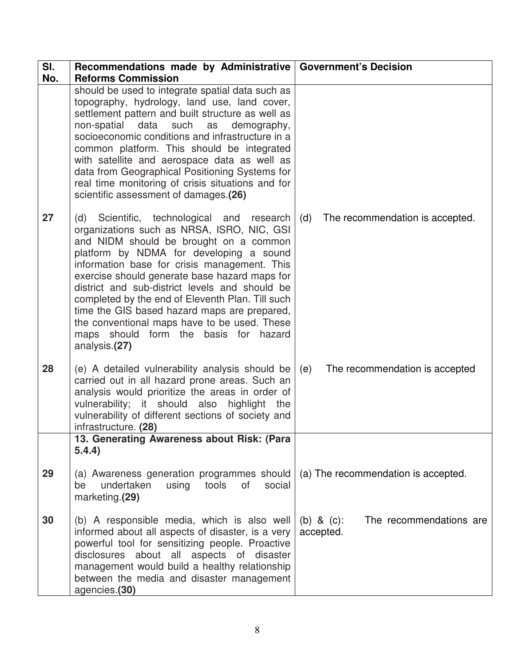| SI.<br>No. | Recommendations made by Administrative   Government's Decision<br><b>Reforms Commission</b>                                                                                                                                                                                                                                                                                                                                                                                                                                                    |                                                       |  |  |
|------------|------------------------------------------------------------------------------------------------------------------------------------------------------------------------------------------------------------------------------------------------------------------------------------------------------------------------------------------------------------------------------------------------------------------------------------------------------------------------------------------------------------------------------------------------|-------------------------------------------------------|--|--|
|            | should be used to integrate spatial data such as<br>topography, hydrology, land use, land cover,<br>settlement pattern and built structure as well as<br>non-spatial data such<br>as<br>demography,<br>socioeconomic conditions and infrastructure in a<br>common platform. This should be integrated<br>with satellite and aerospace data as well as<br>data from Geographical Positioning Systems for<br>real time monitoring of crisis situations and for<br>scientific assessment of damages.(26)                                          |                                                       |  |  |
| 27         | (d) Scientific, technological and research<br>organizations such as NRSA, ISRO, NIC, GSI<br>and NIDM should be brought on a common<br>platform by NDMA for developing a sound<br>information base for crisis management. This<br>exercise should generate base hazard maps for<br>district and sub-district levels and should be<br>completed by the end of Eleventh Plan. Till such<br>time the GIS based hazard maps are prepared,<br>the conventional maps have to be used. These<br>maps should form the basis for hazard<br>analysis.(27) | The recommendation is accepted.<br>(d)                |  |  |
| 28         | (e) A detailed vulnerability analysis should be<br>carried out in all hazard prone areas. Such an<br>analysis would prioritize the areas in order of<br>vulnerability; it should also highlight<br>the<br>vulnerability of different sections of society and<br>infrastructure. (28)                                                                                                                                                                                                                                                           | The recommendation is accepted<br>(e)                 |  |  |
|            | 13. Generating Awareness about Risk: (Para<br>5.4.4)                                                                                                                                                                                                                                                                                                                                                                                                                                                                                           |                                                       |  |  |
| 29         | (a) Awareness generation programmes should<br>of<br>undertaken<br>using tools<br>social<br>be<br>marketing.(29)                                                                                                                                                                                                                                                                                                                                                                                                                                | (a) The recommendation is accepted.                   |  |  |
| 30         | (b) A responsible media, which is also well<br>informed about all aspects of disaster, is a very<br>powerful tool for sensitizing people. Proactive<br>disclosures about all aspects of disaster<br>management would build a healthy relationship<br>between the media and disaster management<br>agencies.(30)                                                                                                                                                                                                                                | The recommendations are<br>(b) & $(c)$ :<br>accepted. |  |  |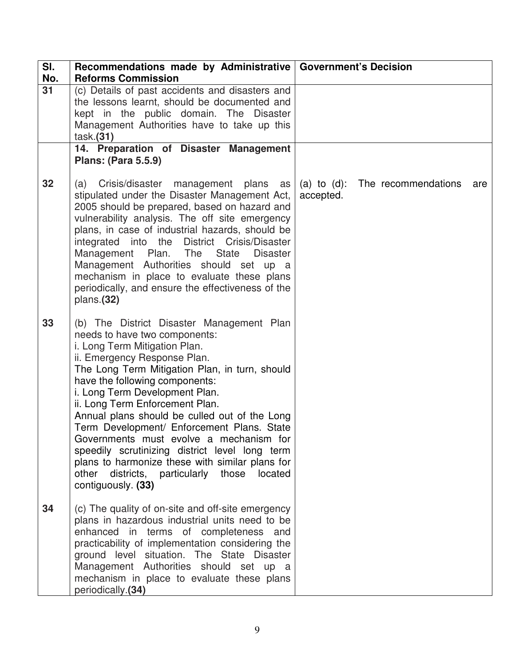| SI.<br>No. | Recommendations made by Administrative   Government's Decision<br><b>Reforms Commission</b>                                                                                                                                                                                                                                                                                                                                                                                                                                                                                                                                 |                                                     |
|------------|-----------------------------------------------------------------------------------------------------------------------------------------------------------------------------------------------------------------------------------------------------------------------------------------------------------------------------------------------------------------------------------------------------------------------------------------------------------------------------------------------------------------------------------------------------------------------------------------------------------------------------|-----------------------------------------------------|
| 31         | (c) Details of past accidents and disasters and<br>the lessons learnt, should be documented and<br>kept in the public domain. The Disaster<br>Management Authorities have to take up this<br>task.(31)<br>14. Preparation of Disaster Management                                                                                                                                                                                                                                                                                                                                                                            |                                                     |
| 32         | <b>Plans: (Para 5.5.9)</b><br>Crisis/disaster management plans as<br>(a)<br>stipulated under the Disaster Management Act,<br>2005 should be prepared, based on hazard and<br>vulnerability analysis. The off site emergency<br>plans, in case of industrial hazards, should be<br>integrated into the District<br>Crisis/Disaster<br>Management Plan. The<br>State<br><b>Disaster</b><br>Management Authorities should set up a<br>mechanism in place to evaluate these plans<br>periodically, and ensure the effectiveness of the<br>plans.(32)                                                                            | (a) to (d): The recommendations<br>are<br>accepted. |
| 33         | (b) The District Disaster Management Plan<br>needs to have two components:<br>i. Long Term Mitigation Plan.<br>ii. Emergency Response Plan.<br>The Long Term Mitigation Plan, in turn, should<br>have the following components:<br>i. Long Term Development Plan.<br>ii. Long Term Enforcement Plan.<br>Annual plans should be culled out of the Long<br>Term Development/ Enforcement Plans. State<br>Governments must evolve a mechanism for<br>speedily scrutinizing district level long term<br>plans to harmonize these with similar plans for<br>other districts, particularly those<br>located<br>contiguously. (33) |                                                     |
| 34         | (c) The quality of on-site and off-site emergency<br>plans in hazardous industrial units need to be<br>enhanced in terms of completeness and<br>practicability of implementation considering the<br>ground level situation. The State Disaster<br>Management Authorities should set up a<br>mechanism in place to evaluate these plans<br>periodically.(34)                                                                                                                                                                                                                                                                 |                                                     |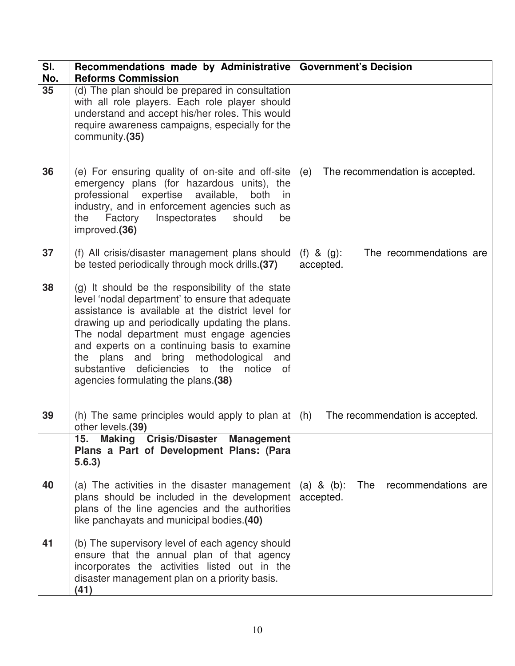| SI.<br>No. | Recommendations made by Administrative   Government's Decision<br><b>Reforms Commission</b>                                                                                                                                                                                                                                                                                                                                                      |                                                         |
|------------|--------------------------------------------------------------------------------------------------------------------------------------------------------------------------------------------------------------------------------------------------------------------------------------------------------------------------------------------------------------------------------------------------------------------------------------------------|---------------------------------------------------------|
| 35         | (d) The plan should be prepared in consultation<br>with all role players. Each role player should<br>understand and accept his/her roles. This would<br>require awareness campaigns, especially for the<br>community.(35)                                                                                                                                                                                                                        |                                                         |
| 36         | (e) For ensuring quality of on-site and off-site<br>emergency plans (for hazardous units), the<br>professional expertise available,<br>both<br>in<br>industry, and in enforcement agencies such as<br>Inspectorates<br>Factory<br>should<br>the<br>be<br>improved.(36)                                                                                                                                                                           | (e)<br>The recommendation is accepted.                  |
| 37         | (f) All crisis/disaster management plans should<br>be tested periodically through mock drills.(37)                                                                                                                                                                                                                                                                                                                                               | The recommendations are<br>$(f)$ & $(g)$ :<br>accepted. |
| 38         | (g) It should be the responsibility of the state<br>level 'nodal department' to ensure that adequate<br>assistance is available at the district level for<br>drawing up and periodically updating the plans.<br>The nodal department must engage agencies<br>and experts on a continuing basis to examine<br>plans and bring methodological and<br>the<br>substantive<br>deficiencies to the<br>notice of<br>agencies formulating the plans.(38) |                                                         |
| 39         | (h) The same principles would apply to plan at<br>other levels.(39)                                                                                                                                                                                                                                                                                                                                                                              | The recommendation is accepted.<br>(h)                  |
|            | 15.<br><b>Making Crisis/Disaster</b><br><b>Management</b><br>Plans a Part of Development Plans: (Para<br>5.6.3)                                                                                                                                                                                                                                                                                                                                  |                                                         |
| 40         | (a) The activities in the disaster management<br>plans should be included in the development<br>plans of the line agencies and the authorities<br>like panchayats and municipal bodies.(40)                                                                                                                                                                                                                                                      | The<br>recommendations are<br>(a) & (b):<br>accepted.   |
| 41         | (b) The supervisory level of each agency should<br>ensure that the annual plan of that agency<br>incorporates the activities listed out in the<br>disaster management plan on a priority basis.<br>(41)                                                                                                                                                                                                                                          |                                                         |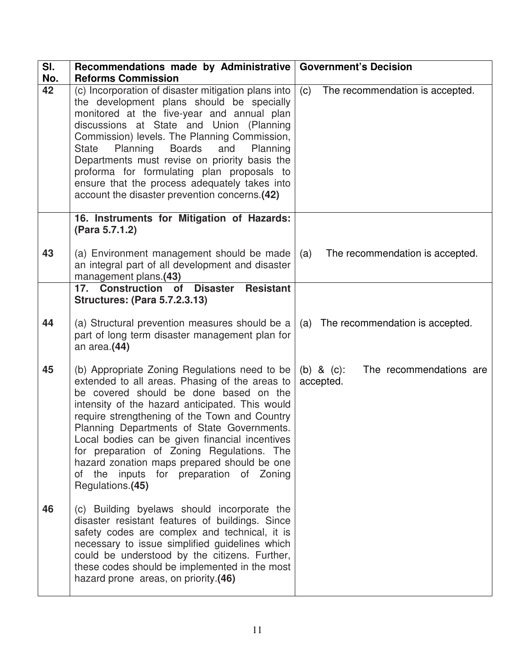| SI.<br>No. | Recommendations made by Administrative<br><b>Reforms Commission</b>                                                                                                                                                                                                                                                                                                                                                                                                                                       | <b>Government's Decision</b>                          |
|------------|-----------------------------------------------------------------------------------------------------------------------------------------------------------------------------------------------------------------------------------------------------------------------------------------------------------------------------------------------------------------------------------------------------------------------------------------------------------------------------------------------------------|-------------------------------------------------------|
| 42         | (c) Incorporation of disaster mitigation plans into<br>the development plans should be specially<br>monitored at the five-year and annual plan<br>discussions at State and Union (Planning<br>Commission) levels. The Planning Commission,<br><b>Boards</b><br>State<br>Planning<br>and<br>Planning<br>Departments must revise on priority basis the<br>proforma for formulating plan proposals to<br>ensure that the process adequately takes into<br>account the disaster prevention concerns.(42)      | (c)<br>The recommendation is accepted.                |
|            | 16. Instruments for Mitigation of Hazards:<br>(Para 5.7.1.2)                                                                                                                                                                                                                                                                                                                                                                                                                                              |                                                       |
| 43         | (a) Environment management should be made<br>an integral part of all development and disaster<br>management plans.(43)                                                                                                                                                                                                                                                                                                                                                                                    | The recommendation is accepted.<br>(a)                |
|            | 17. Construction of Disaster<br><b>Resistant</b><br><b>Structures: (Para 5.7.2.3.13)</b>                                                                                                                                                                                                                                                                                                                                                                                                                  |                                                       |
| 44         | (a) Structural prevention measures should be a<br>part of long term disaster management plan for<br>an area.(44)                                                                                                                                                                                                                                                                                                                                                                                          | The recommendation is accepted.<br>(a)                |
| 45         | (b) Appropriate Zoning Regulations need to be<br>extended to all areas. Phasing of the areas to<br>be covered should be done based on the<br>intensity of the hazard anticipated. This would<br>require strengthening of the Town and Country<br>Planning Departments of State Governments.<br>Local bodies can be given financial incentives<br>for preparation of Zoning Regulations. The<br>hazard zonation maps prepared should be one<br>of the inputs for preparation of Zoning<br>Regulations.(45) | The recommendations are<br>(b) & $(c)$ :<br>accepted. |
| 46         | (c) Building byelaws should incorporate the<br>disaster resistant features of buildings. Since<br>safety codes are complex and technical, it is<br>necessary to issue simplified guidelines which<br>could be understood by the citizens. Further,<br>these codes should be implemented in the most<br>hazard prone areas, on priority.(46)                                                                                                                                                               |                                                       |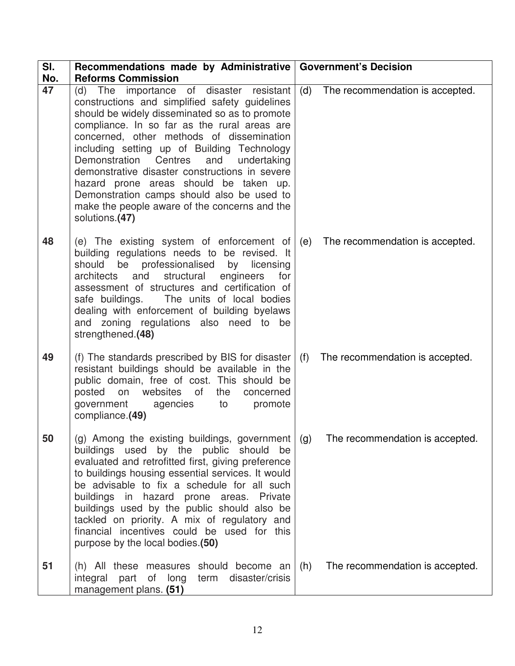| SI.       | Recommendations made by Administrative   Government's Decision<br><b>Reforms Commission</b>                                                                                                                                                                                                                                                                                                                                                                                                                                                             |     |                                 |
|-----------|---------------------------------------------------------------------------------------------------------------------------------------------------------------------------------------------------------------------------------------------------------------------------------------------------------------------------------------------------------------------------------------------------------------------------------------------------------------------------------------------------------------------------------------------------------|-----|---------------------------------|
| No.<br>47 | (d) The importance of disaster resistant<br>constructions and simplified safety guidelines<br>should be widely disseminated so as to promote<br>compliance. In so far as the rural areas are<br>concerned, other methods of dissemination<br>including setting up of Building Technology<br>Demonstration<br>Centres<br>and<br>undertaking<br>demonstrative disaster constructions in severe<br>hazard prone areas should be taken up.<br>Demonstration camps should also be used to<br>make the people aware of the concerns and the<br>solutions.(47) | (d) | The recommendation is accepted. |
| 48        | (e) The existing system of enforcement of $(e)$<br>building regulations needs to be revised. It<br>should be professionalised by licensing<br>architects and structural engineers<br>for<br>assessment of structures and certification of<br>safe buildings. The units of local bodies<br>dealing with enforcement of building byelaws<br>and zoning regulations also need to be<br>strengthened.(48)                                                                                                                                                   |     | The recommendation is accepted. |
| 49        | (f) The standards prescribed by BIS for disaster<br>resistant buildings should be available in the<br>public domain, free of cost. This should be<br>posted on<br>websites of<br>the<br>concerned<br>government agencies<br>promote<br>to<br>compliance.(49)                                                                                                                                                                                                                                                                                            | (f) | The recommendation is accepted. |
| 50        | (g) Among the existing buildings, government   (g)<br>buildings used by the public should be<br>evaluated and retrofitted first, giving preference<br>to buildings housing essential services. It would<br>be advisable to fix a schedule for all such<br>buildings in hazard prone areas. Private<br>buildings used by the public should also be<br>tackled on priority. A mix of regulatory and<br>financial incentives could be used for this<br>purpose by the local bodies.(50)                                                                    |     | The recommendation is accepted. |
| 51        | (h) All these measures should become an<br>integral part of long term disaster/crisis<br>management plans. (51)                                                                                                                                                                                                                                                                                                                                                                                                                                         | (h) | The recommendation is accepted. |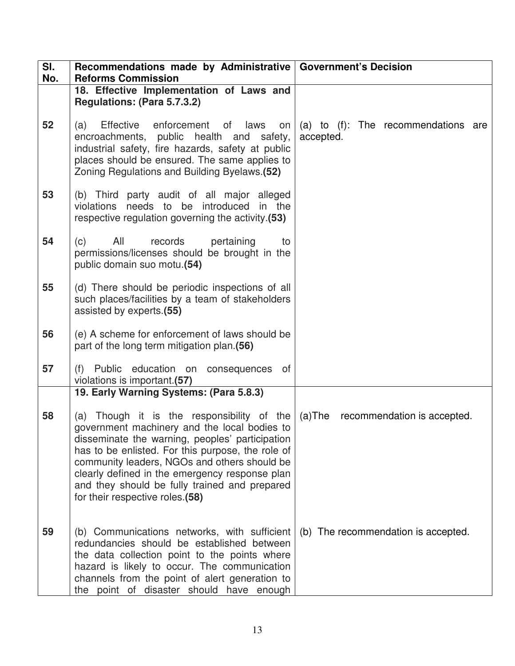| SI.<br>No. | Recommendations made by Administrative   Government's Decision<br><b>Reforms Commission</b>                                                                                                                                                                                                                                                                                                                                         |                                                  |
|------------|-------------------------------------------------------------------------------------------------------------------------------------------------------------------------------------------------------------------------------------------------------------------------------------------------------------------------------------------------------------------------------------------------------------------------------------|--------------------------------------------------|
|            | 18. Effective Implementation of Laws and<br>Regulations: (Para 5.7.3.2)                                                                                                                                                                                                                                                                                                                                                             |                                                  |
| 52         | enforcement<br>of laws<br>Effective<br>(a)<br>on<br>encroachments, public health and safety,<br>industrial safety, fire hazards, safety at public<br>places should be ensured. The same applies to<br>Zoning Regulations and Building Byelaws.(52)                                                                                                                                                                                  | (a) to (f): The recommendations are<br>accepted. |
| 53         | (b) Third party audit of all major alleged<br>violations needs to be introduced in the<br>respective regulation governing the activity.(53)                                                                                                                                                                                                                                                                                         |                                                  |
| 54         | All<br>pertaining<br>(c)<br>records<br>to<br>permissions/licenses should be brought in the<br>public domain suo motu.(54)                                                                                                                                                                                                                                                                                                           |                                                  |
| 55         | (d) There should be periodic inspections of all<br>such places/facilities by a team of stakeholders<br>assisted by experts.(55)                                                                                                                                                                                                                                                                                                     |                                                  |
| 56         | (e) A scheme for enforcement of laws should be<br>part of the long term mitigation plan.(56)                                                                                                                                                                                                                                                                                                                                        |                                                  |
| 57         | (f) Public education on consequences of<br>violations is important.(57)                                                                                                                                                                                                                                                                                                                                                             |                                                  |
| 58         | 19. Early Warning Systems: (Para 5.8.3)<br>(a) Though it is the responsibility of the<br>government machinery and the local bodies to<br>disseminate the warning, peoples' participation<br>has to be enlisted. For this purpose, the role of<br>community leaders, NGOs and others should be<br>clearly defined in the emergency response plan<br>and they should be fully trained and prepared<br>for their respective roles.(58) | (a)The<br>recommendation is accepted.            |
| 59         | (b) Communications networks, with sufficient<br>redundancies should be established between<br>the data collection point to the points where<br>hazard is likely to occur. The communication<br>channels from the point of alert generation to<br>the point of disaster should have enough                                                                                                                                           | (b) The recommendation is accepted.              |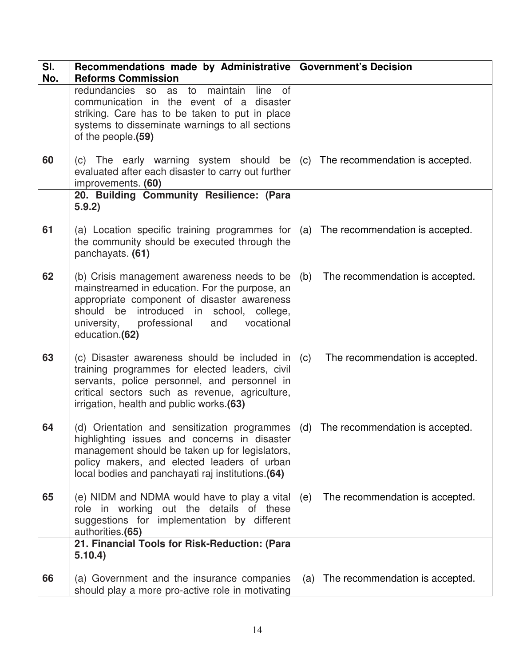| SI.<br>No. | Recommendations made by Administrative   Government's Decision<br><b>Reforms Commission</b>                                                                                                                                                                          |                                        |  |
|------------|----------------------------------------------------------------------------------------------------------------------------------------------------------------------------------------------------------------------------------------------------------------------|----------------------------------------|--|
|            | maintain<br>line<br>redundancies<br>0f<br>to<br><b>SO</b><br>as<br>communication in the event of a disaster<br>striking. Care has to be taken to put in place<br>systems to disseminate warnings to all sections<br>of the people.(59)                               |                                        |  |
| 60         | (c) The early warning system should be<br>evaluated after each disaster to carry out further<br>improvements. (60)                                                                                                                                                   | The recommendation is accepted.<br>(c) |  |
|            | 20. Building Community Resilience: (Para<br>5.9.2)                                                                                                                                                                                                                   |                                        |  |
| 61         | (a) Location specific training programmes for<br>the community should be executed through the<br>panchayats. (61)                                                                                                                                                    | The recommendation is accepted.<br>(a) |  |
| 62         | (b) Crisis management awareness needs to be<br>mainstreamed in education. For the purpose, an<br>appropriate component of disaster awareness<br>introduced in school,<br>should be<br>college,<br>professional<br>vocational<br>university,<br>and<br>education.(62) | (b)<br>The recommendation is accepted. |  |
| 63         | (c) Disaster awareness should be included in<br>training programmes for elected leaders, civil<br>servants, police personnel, and personnel in<br>critical sectors such as revenue, agriculture,<br>irrigation, health and public works.(63)                         | The recommendation is accepted.<br>(c) |  |
| 64         | (d) Orientation and sensitization programmes<br>highlighting issues and concerns in disaster<br>management should be taken up for legislators,<br>policy makers, and elected leaders of urban<br>local bodies and panchayati raj institutions.(64)                   | (d) The recommendation is accepted.    |  |
| 65         | (e) NIDM and NDMA would have to play a vital<br>role in working out the details of these<br>suggestions for implementation by different<br>authorities.(65)                                                                                                          | The recommendation is accepted.<br>(e) |  |
|            | 21. Financial Tools for Risk-Reduction: (Para<br>5.10.4)                                                                                                                                                                                                             |                                        |  |
| 66         | (a) Government and the insurance companies<br>should play a more pro-active role in motivating                                                                                                                                                                       | The recommendation is accepted.<br>(a) |  |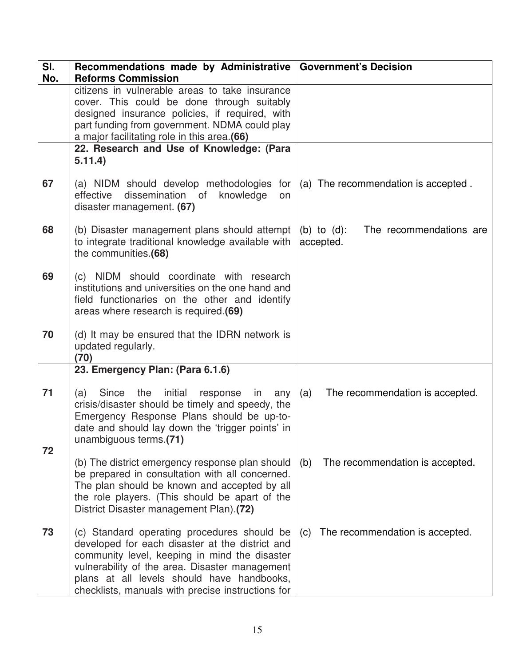| SI.<br>No. | Recommendations made by Administrative<br><b>Reforms Commission</b>                                                                                                                                                                                                                                  | <b>Government's Decision</b>                           |
|------------|------------------------------------------------------------------------------------------------------------------------------------------------------------------------------------------------------------------------------------------------------------------------------------------------------|--------------------------------------------------------|
|            | citizens in vulnerable areas to take insurance<br>cover. This could be done through suitably<br>designed insurance policies, if required, with<br>part funding from government. NDMA could play<br>a major facilitating role in this area.(66)                                                       |                                                        |
|            | 22. Research and Use of Knowledge: (Para<br>5.11.4)                                                                                                                                                                                                                                                  |                                                        |
| 67         | (a) NIDM should develop methodologies for<br>dissemination of<br>effective<br>knowledge<br>on<br>disaster management. (67)                                                                                                                                                                           | (a) The recommendation is accepted.                    |
| 68         | (b) Disaster management plans should attempt<br>to integrate traditional knowledge available with<br>the communities.(68)                                                                                                                                                                            | The recommendations are<br>(b) to $(d)$ :<br>accepted. |
| 69         | (c) NIDM should coordinate with research<br>institutions and universities on the one hand and<br>field functionaries on the other and identify<br>areas where research is required.(69)                                                                                                              |                                                        |
| 70         | (d) It may be ensured that the IDRN network is<br>updated regularly.<br>(70)                                                                                                                                                                                                                         |                                                        |
|            | 23. Emergency Plan: (Para 6.1.6)                                                                                                                                                                                                                                                                     |                                                        |
| 71<br>72   | initial<br>Since<br>the<br>(a)<br>response<br>in<br>any<br>crisis/disaster should be timely and speedy, the<br>Emergency Response Plans should be up-to-<br>date and should lay down the 'trigger points' in<br>unambiguous terms.(71)                                                               | The recommendation is accepted.<br>(a)                 |
|            | (b) The district emergency response plan should<br>be prepared in consultation with all concerned.<br>The plan should be known and accepted by all<br>the role players. (This should be apart of the<br>District Disaster management Plan).(72)                                                      | (b)<br>The recommendation is accepted.                 |
| 73         | (c) Standard operating procedures should be<br>developed for each disaster at the district and<br>community level, keeping in mind the disaster<br>vulnerability of the area. Disaster management<br>plans at all levels should have handbooks,<br>checklists, manuals with precise instructions for | The recommendation is accepted.<br>(c)                 |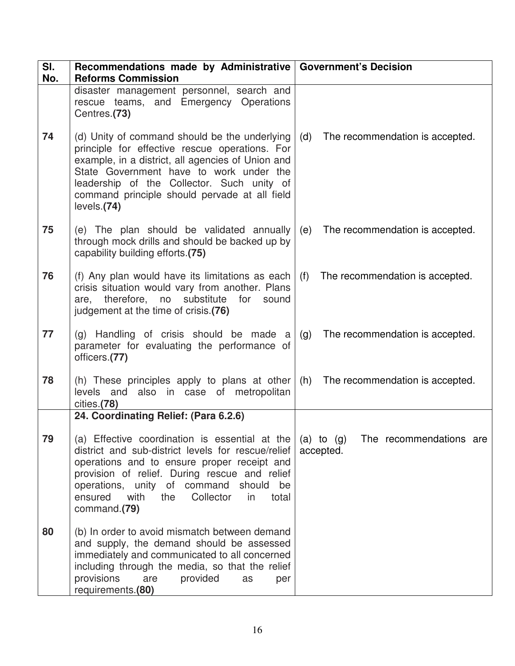| SI.<br>No. | Recommendations made by Administrative   Government's Decision<br><b>Reforms Commission</b>                                                                                                                                                                                                                             |                                                        |
|------------|-------------------------------------------------------------------------------------------------------------------------------------------------------------------------------------------------------------------------------------------------------------------------------------------------------------------------|--------------------------------------------------------|
|            | disaster management personnel, search and<br>rescue teams, and Emergency Operations<br>Centres.(73)                                                                                                                                                                                                                     |                                                        |
| 74         | (d) Unity of command should be the underlying<br>principle for effective rescue operations. For<br>example, in a district, all agencies of Union and<br>State Government have to work under the<br>leadership of the Collector. Such unity of<br>command principle should pervade at all field<br>levels.(74)           | (d)<br>The recommendation is accepted.                 |
| 75         | (e) The plan should be validated annually<br>through mock drills and should be backed up by<br>capability building efforts.(75)                                                                                                                                                                                         | (e)<br>The recommendation is accepted.                 |
| 76         | (f) Any plan would have its limitations as each<br>crisis situation would vary from another. Plans<br>are, therefore, no substitute for<br>sound<br>judgement at the time of crisis.(76)                                                                                                                                | (f)<br>The recommendation is accepted.                 |
| 77         | (g) Handling of crisis should be made a<br>parameter for evaluating the performance of<br>officers.(77)                                                                                                                                                                                                                 | (g)<br>The recommendation is accepted.                 |
| 78         | (h) These principles apply to plans at other<br>levels and also in case of metropolitan<br>cities.(78)                                                                                                                                                                                                                  | (h) The recommendation is accepted.                    |
|            | 24. Coordinating Relief: (Para 6.2.6)                                                                                                                                                                                                                                                                                   |                                                        |
| 79         | (a) Effective coordination is essential at the<br>district and sub-district levels for rescue/relief<br>operations and to ensure proper receipt and<br>provision of relief. During rescue and relief<br>operations, unity of command should<br>be<br>ensured<br>with<br>Collector<br>the<br>in<br>total<br>command.(79) | $(a)$ to $(g)$<br>The recommendations are<br>accepted. |
| 80         | (b) In order to avoid mismatch between demand<br>and supply, the demand should be assessed<br>immediately and communicated to all concerned<br>including through the media, so that the relief<br>provisions<br>are<br>provided<br>as<br>per<br>requirements.(80)                                                       |                                                        |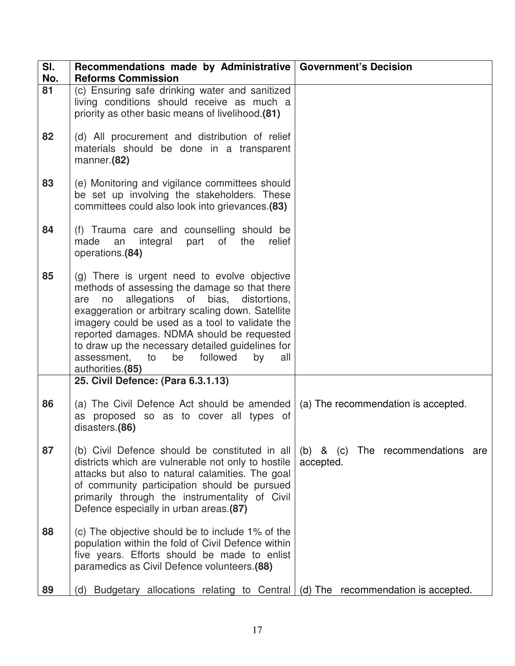| SI.<br>No. | Recommendations made by Administrative   Government's Decision<br><b>Reforms Commission</b>                                                                                                                                                                                                                                                                                                                                       |                                                   |
|------------|-----------------------------------------------------------------------------------------------------------------------------------------------------------------------------------------------------------------------------------------------------------------------------------------------------------------------------------------------------------------------------------------------------------------------------------|---------------------------------------------------|
| 81         | (c) Ensuring safe drinking water and sanitized<br>living conditions should receive as much a<br>priority as other basic means of livelihood.(81)                                                                                                                                                                                                                                                                                  |                                                   |
| 82         | (d) All procurement and distribution of relief<br>materials should be done in a transparent<br>manner.(82)                                                                                                                                                                                                                                                                                                                        |                                                   |
| 83         | (e) Monitoring and vigilance committees should<br>be set up involving the stakeholders. These<br>committees could also look into grievances.(83)                                                                                                                                                                                                                                                                                  |                                                   |
| 84         | (f) Trauma care and counselling should be<br>of<br>integral<br>part<br>the<br>made<br>an<br>relief<br>operations.(84)                                                                                                                                                                                                                                                                                                             |                                                   |
| 85         | (g) There is urgent need to evolve objective<br>methods of assessing the damage so that there<br>allegations of bias, distortions,<br>are<br>no<br>exaggeration or arbitrary scaling down. Satellite<br>imagery could be used as a tool to validate the<br>reported damages. NDMA should be requested<br>to draw up the necessary detailed guidelines for<br>to<br>be<br>assessment,<br>followed<br>by<br>all<br>authorities.(85) |                                                   |
|            | 25. Civil Defence: (Para 6.3.1.13)                                                                                                                                                                                                                                                                                                                                                                                                |                                                   |
| 86         | (a) The Civil Defence Act should be amended<br>as proposed so as to cover all types of<br>disasters.(86)                                                                                                                                                                                                                                                                                                                          | (a) The recommendation is accepted.               |
| 87         | (b) Civil Defence should be constituted in all<br>districts which are vulnerable not only to hostile<br>attacks but also to natural calamities. The goal<br>of community participation should be pursued<br>primarily through the instrumentality of Civil<br>Defence especially in urban areas.(87)                                                                                                                              | (b) & (c) The recommendations<br>are<br>accepted. |
| 88         | (c) The objective should be to include 1% of the<br>population within the fold of Civil Defence within<br>five years. Efforts should be made to enlist<br>paramedics as Civil Defence volunteers.(88)                                                                                                                                                                                                                             |                                                   |
| 89         | (d) Budgetary allocations relating to Central                                                                                                                                                                                                                                                                                                                                                                                     | (d) The recommendation is accepted.               |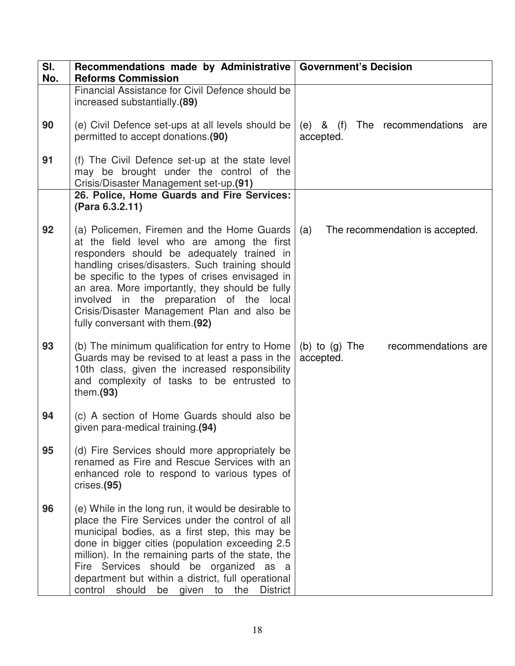| SI.<br>No. | Recommendations made by Administrative   Government's Decision<br><b>Reforms Commission</b>                                                                                                                                                                                                                                                                                                                                         |                                                          |
|------------|-------------------------------------------------------------------------------------------------------------------------------------------------------------------------------------------------------------------------------------------------------------------------------------------------------------------------------------------------------------------------------------------------------------------------------------|----------------------------------------------------------|
|            | Financial Assistance for Civil Defence should be<br>increased substantially.(89)                                                                                                                                                                                                                                                                                                                                                    |                                                          |
| 90         | (e) Civil Defence set-ups at all levels should be<br>permitted to accept donations.(90)                                                                                                                                                                                                                                                                                                                                             | $(e)$ & $(f)$<br>The recommendations<br>are<br>accepted. |
| 91         | (f) The Civil Defence set-up at the state level<br>may be brought under the control of the<br>Crisis/Disaster Management set-up.(91)                                                                                                                                                                                                                                                                                                |                                                          |
|            | 26. Police, Home Guards and Fire Services:<br>(Para 6.3.2.11)                                                                                                                                                                                                                                                                                                                                                                       |                                                          |
| 92         | (a) Policemen, Firemen and the Home Guards<br>at the field level who are among the first<br>responders should be adequately trained in<br>handling crises/disasters. Such training should<br>be specific to the types of crises envisaged in<br>an area. More importantly, they should be fully<br>involved in the preparation of the local<br>Crisis/Disaster Management Plan and also be<br>fully conversant with them.(92)       | The recommendation is accepted.<br>(a)                   |
| 93         | (b) The minimum qualification for entry to Home<br>Guards may be revised to at least a pass in the<br>10th class, given the increased responsibility<br>and complexity of tasks to be entrusted to<br>them. $(93)$                                                                                                                                                                                                                  | recommendations are<br>(b) to $(g)$ The<br>accepted.     |
| 94         | (c) A section of Home Guards should also be<br>given para-medical training.(94)                                                                                                                                                                                                                                                                                                                                                     |                                                          |
| 95         | (d) Fire Services should more appropriately be<br>renamed as Fire and Rescue Services with an<br>enhanced role to respond to various types of<br>crises.(95)                                                                                                                                                                                                                                                                        |                                                          |
| 96         | (e) While in the long run, it would be desirable to<br>place the Fire Services under the control of all<br>municipal bodies, as a first step, this may be<br>done in bigger cities (population exceeding 2.5<br>million). In the remaining parts of the state, the<br>Fire Services should be organized as a<br>department but within a district, full operational<br><b>District</b><br>control<br>should<br>the<br>be given<br>to |                                                          |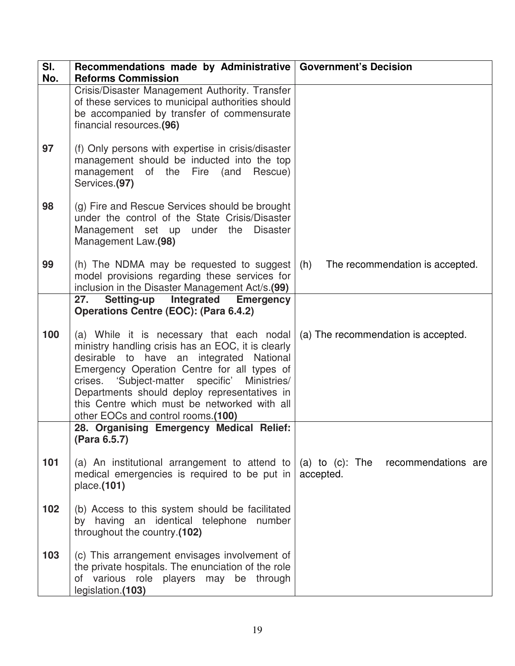| SI.<br>No. | Recommendations made by Administrative   Government's Decision<br><b>Reforms Commission</b>                                                                                                                                                                                                                                                                                          |                                                        |
|------------|--------------------------------------------------------------------------------------------------------------------------------------------------------------------------------------------------------------------------------------------------------------------------------------------------------------------------------------------------------------------------------------|--------------------------------------------------------|
|            | Crisis/Disaster Management Authority. Transfer<br>of these services to municipal authorities should<br>be accompanied by transfer of commensurate<br>financial resources.(96)                                                                                                                                                                                                        |                                                        |
| 97         | (f) Only persons with expertise in crisis/disaster<br>management should be inducted into the top<br>management of the<br>Rescue)<br>Fire<br>(and<br>Services.(97)                                                                                                                                                                                                                    |                                                        |
| 98         | (g) Fire and Rescue Services should be brought<br>under the control of the State Crisis/Disaster<br>Management set up under the<br><b>Disaster</b><br>Management Law.(98)                                                                                                                                                                                                            |                                                        |
| 99         | (h) The NDMA may be requested to suggest<br>model provisions regarding these services for<br>inclusion in the Disaster Management Act/s.(99)                                                                                                                                                                                                                                         | The recommendation is accepted.<br>(h)                 |
|            | <b>Setting-up</b><br>Integrated<br>27.<br><b>Emergency</b><br><b>Operations Centre (EOC): (Para 6.4.2)</b>                                                                                                                                                                                                                                                                           |                                                        |
| 100        | (a) While it is necessary that each nodal<br>ministry handling crisis has an EOC, it is clearly<br>desirable to have an integrated National<br>Emergency Operation Centre for all types of<br>'Subject-matter specific' Ministries/<br>crises.<br>Departments should deploy representatives in<br>this Centre which must be networked with all<br>other EOCs and control rooms.(100) | (a) The recommendation is accepted.                    |
|            | 28. Organising Emergency Medical Relief:<br>(Para 6.5.7)                                                                                                                                                                                                                                                                                                                             |                                                        |
| 101        | (a) An institutional arrangement to attend to<br>medical emergencies is required to be put in<br>place.(101)                                                                                                                                                                                                                                                                         | (a) to $(c)$ : The<br>recommendations are<br>accepted. |
| 102        | (b) Access to this system should be facilitated<br>by having an identical telephone number<br>throughout the country.(102)                                                                                                                                                                                                                                                           |                                                        |
| 103        | (c) This arrangement envisages involvement of<br>the private hospitals. The enunciation of the role<br>of various role players may be through<br>legislation.(103)                                                                                                                                                                                                                   |                                                        |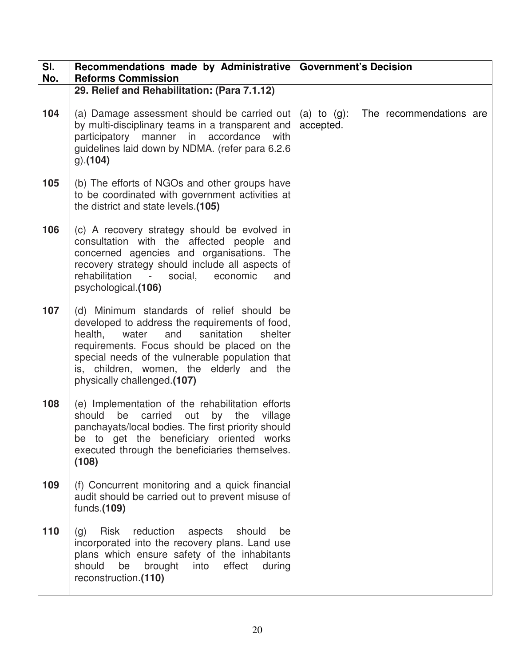| SI.<br>No. | Recommendations made by Administrative   Government's Decision<br><b>Reforms Commission</b>                                                                                                                                                                                                                                  |                                                        |
|------------|------------------------------------------------------------------------------------------------------------------------------------------------------------------------------------------------------------------------------------------------------------------------------------------------------------------------------|--------------------------------------------------------|
|            | 29. Relief and Rehabilitation: (Para 7.1.12)                                                                                                                                                                                                                                                                                 |                                                        |
| 104        | (a) Damage assessment should be carried out<br>by multi-disciplinary teams in a transparent and<br>participatory manner in accordance<br>with<br>guidelines laid down by NDMA. (refer para 6.2.6<br>$g$ ).(104)                                                                                                              | (a) to $(g)$ :<br>The recommendations are<br>accepted. |
| 105        | (b) The efforts of NGOs and other groups have<br>to be coordinated with government activities at<br>the district and state levels.(105)                                                                                                                                                                                      |                                                        |
| 106        | (c) A recovery strategy should be evolved in<br>consultation with the affected people<br>and<br>concerned agencies and organisations. The<br>recovery strategy should include all aspects of<br>rehabilitation<br>social,<br>$\sim$<br>economic<br>and<br>psychological.(106)                                                |                                                        |
| 107        | (d) Minimum standards of relief should be<br>developed to address the requirements of food,<br>health,<br>sanitation<br>shelter<br>water<br>and<br>requirements. Focus should be placed on the<br>special needs of the vulnerable population that<br>is, children, women, the elderly and the<br>physically challenged.(107) |                                                        |
| 108        | (e) Implementation of the rehabilitation efforts<br>should<br>be carried out<br>by the<br>village<br>panchayats/local bodies. The first priority should<br>be to get the beneficiary oriented works<br>executed through the beneficiaries themselves.<br>(108)                                                               |                                                        |
| 109        | (f) Concurrent monitoring and a quick financial<br>audit should be carried out to prevent misuse of<br>funds.(109)                                                                                                                                                                                                           |                                                        |
| 110        | Risk reduction<br>aspects<br>should<br>(g)<br>be<br>incorporated into the recovery plans. Land use<br>plans which ensure safety of the inhabitants<br>should<br>be<br>brought into<br>effect<br>during<br>reconstruction.(110)                                                                                               |                                                        |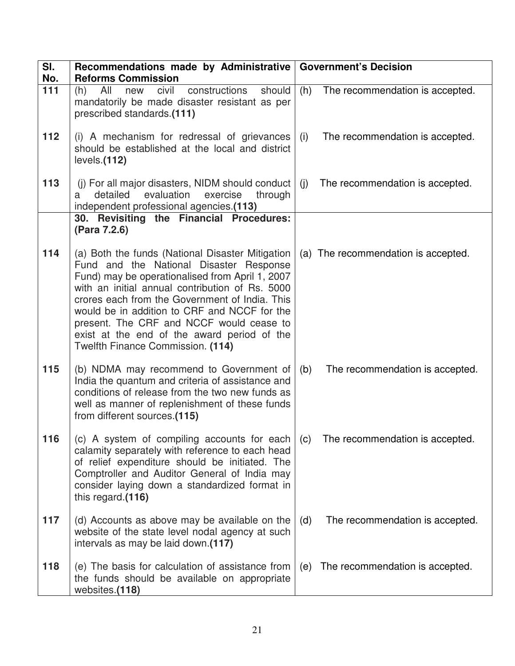| SI.<br>No. | Recommendations made by Administrative<br><b>Reforms Commission</b>                                                                                                                                                                                                                                                                                                                                                                 |     | <b>Government's Decision</b>        |
|------------|-------------------------------------------------------------------------------------------------------------------------------------------------------------------------------------------------------------------------------------------------------------------------------------------------------------------------------------------------------------------------------------------------------------------------------------|-----|-------------------------------------|
| 111        | All<br>civil<br>should<br>constructions<br>(h)<br>new<br>mandatorily be made disaster resistant as per<br>prescribed standards.(111)                                                                                                                                                                                                                                                                                                | (h) | The recommendation is accepted.     |
| 112        | (i) A mechanism for redressal of grievances<br>should be established at the local and district<br>levels.(112)                                                                                                                                                                                                                                                                                                                      | (i) | The recommendation is accepted.     |
| 113        | (j) For all major disasters, NIDM should conduct<br>evaluation<br>detailed<br>exercise<br>through<br>a<br>independent professional agencies.(113)                                                                                                                                                                                                                                                                                   | (i) | The recommendation is accepted.     |
|            | 30. Revisiting the Financial Procedures:<br>(Para 7.2.6)                                                                                                                                                                                                                                                                                                                                                                            |     |                                     |
| 114        | (a) Both the funds (National Disaster Mitigation<br>Fund and the National Disaster Response<br>Fund) may be operationalised from April 1, 2007<br>with an initial annual contribution of Rs. 5000<br>crores each from the Government of India. This<br>would be in addition to CRF and NCCF for the<br>present. The CRF and NCCF would cease to<br>exist at the end of the award period of the<br>Twelfth Finance Commission. (114) |     | (a) The recommendation is accepted. |
| 115        | (b) NDMA may recommend to Government of<br>India the quantum and criteria of assistance and<br>conditions of release from the two new funds as<br>well as manner of replenishment of these funds<br>from different sources.(115)                                                                                                                                                                                                    | (b) | The recommendation is accepted.     |
| 116        | (c) A system of compiling accounts for each<br>calamity separately with reference to each head<br>of relief expenditure should be initiated. The<br>Comptroller and Auditor General of India may<br>consider laying down a standardized format in<br>this regard.(116)                                                                                                                                                              | (c) | The recommendation is accepted.     |
| 117        | (d) Accounts as above may be available on the<br>website of the state level nodal agency at such<br>intervals as may be laid down.(117)                                                                                                                                                                                                                                                                                             | (d) | The recommendation is accepted.     |
| 118        | (e) The basis for calculation of assistance from<br>the funds should be available on appropriate<br>websites.(118)                                                                                                                                                                                                                                                                                                                  | (e) | The recommendation is accepted.     |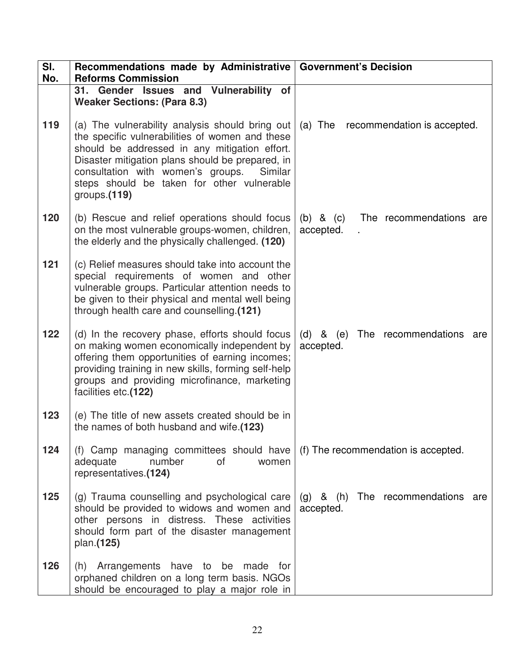| SI.<br>No. | Recommendations made by Administrative   Government's Decision<br><b>Reforms Commission</b>                                                                                                                                                                                                                              |                                                       |
|------------|--------------------------------------------------------------------------------------------------------------------------------------------------------------------------------------------------------------------------------------------------------------------------------------------------------------------------|-------------------------------------------------------|
|            | 31. Gender Issues and Vulnerability of<br><b>Weaker Sections: (Para 8.3)</b>                                                                                                                                                                                                                                             |                                                       |
| 119        | (a) The vulnerability analysis should bring out<br>the specific vulnerabilities of women and these<br>should be addressed in any mitigation effort.<br>Disaster mitigation plans should be prepared, in<br>consultation with women's groups.<br>Similar<br>steps should be taken for other vulnerable<br>groups. $(119)$ | (a) The recommendation is accepted.                   |
| 120        | (b) Rescue and relief operations should focus<br>on the most vulnerable groups-women, children,<br>the elderly and the physically challenged. (120)                                                                                                                                                                      | $(b)$ & $(c)$<br>The recommendations are<br>accepted. |
| 121        | (c) Relief measures should take into account the<br>special requirements of women and other<br>vulnerable groups. Particular attention needs to<br>be given to their physical and mental well being<br>through health care and counselling.(121)                                                                         |                                                       |
| 122        | (d) In the recovery phase, efforts should focus<br>on making women economically independent by<br>offering them opportunities of earning incomes;<br>providing training in new skills, forming self-help<br>groups and providing microfinance, marketing<br>facilities etc.(122)                                         | (d) & (e) The recommendations<br>are<br>accepted.     |
| 123        | (e) The title of new assets created should be in<br>the names of both husband and wife.(123)                                                                                                                                                                                                                             |                                                       |
| 124        | (f) Camp managing committees should have<br>adequate<br>number<br>0f<br>women<br>representatives.(124)                                                                                                                                                                                                                   | (f) The recommendation is accepted.                   |
| 125        | (g) Trauma counselling and psychological care<br>should be provided to widows and women and<br>other persons in distress. These activities<br>should form part of the disaster management<br>plan.(125)                                                                                                                  | (g) & (h) The recommendations are<br>accepted.        |
| 126        | (h) Arrangements have to be made for<br>orphaned children on a long term basis. NGOs<br>should be encouraged to play a major role in                                                                                                                                                                                     |                                                       |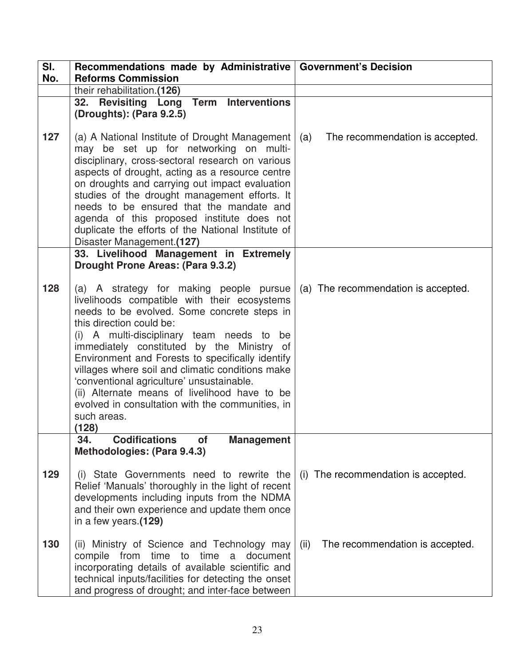| SI. | Recommendations made by Administrative   Government's Decision                                                                                                                                                                                                                                                                                                                                                                                                                                                                                  |                                         |
|-----|-------------------------------------------------------------------------------------------------------------------------------------------------------------------------------------------------------------------------------------------------------------------------------------------------------------------------------------------------------------------------------------------------------------------------------------------------------------------------------------------------------------------------------------------------|-----------------------------------------|
| No. | <b>Reforms Commission</b>                                                                                                                                                                                                                                                                                                                                                                                                                                                                                                                       |                                         |
|     | their rehabilitation.(126)                                                                                                                                                                                                                                                                                                                                                                                                                                                                                                                      |                                         |
|     | 32. Revisiting Long Term Interventions                                                                                                                                                                                                                                                                                                                                                                                                                                                                                                          |                                         |
|     | (Droughts): (Para 9.2.5)                                                                                                                                                                                                                                                                                                                                                                                                                                                                                                                        |                                         |
| 127 | (a) A National Institute of Drought Management<br>may be set up for networking on multi-<br>disciplinary, cross-sectoral research on various<br>aspects of drought, acting as a resource centre<br>on droughts and carrying out impact evaluation<br>studies of the drought management efforts. It<br>needs to be ensured that the mandate and<br>agenda of this proposed institute does not<br>duplicate the efforts of the National Institute of<br>Disaster Management.(127)                                                                 | (a)<br>The recommendation is accepted.  |
|     | 33. Livelihood Management in Extremely<br>Drought Prone Areas: (Para 9.3.2)                                                                                                                                                                                                                                                                                                                                                                                                                                                                     |                                         |
| 128 | (a) A strategy for making people pursue<br>livelihoods compatible with their ecosystems<br>needs to be evolved. Some concrete steps in<br>this direction could be:<br>(i) A multi-disciplinary team needs to be<br>immediately constituted by the Ministry of<br>Environment and Forests to specifically identify<br>villages where soil and climatic conditions make<br>'conventional agriculture' unsustainable.<br>(ii) Alternate means of livelihood have to be<br>evolved in consultation with the communities, in<br>such areas.<br>(128) | (a) The recommendation is accepted.     |
|     | <b>Codifications</b><br>34.<br><b>of</b><br><b>Management</b>                                                                                                                                                                                                                                                                                                                                                                                                                                                                                   |                                         |
| 129 | Methodologies: (Para 9.4.3)<br>(i) State Governments need to rewrite the<br>Relief 'Manuals' thoroughly in the light of recent<br>developments including inputs from the NDMA<br>and their own experience and update them once<br>in a few years.(129)                                                                                                                                                                                                                                                                                          | (i) The recommendation is accepted.     |
| 130 | (ii) Ministry of Science and Technology may<br>compile from<br>time to time<br>a document<br>incorporating details of available scientific and<br>technical inputs/facilities for detecting the onset<br>and progress of drought; and inter-face between                                                                                                                                                                                                                                                                                        | (ii)<br>The recommendation is accepted. |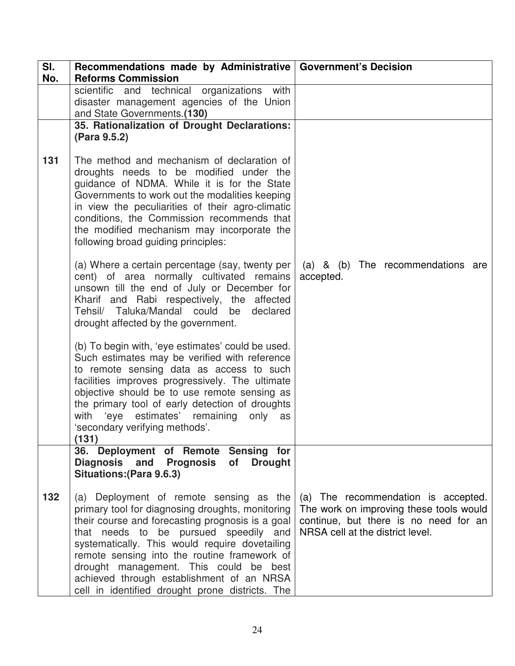| SI.<br>No. | Recommendations made by Administrative   Government's Decision<br><b>Reforms Commission</b>                                                                                                                                                                                                                                                                                                                                          |                                                                                                                                                             |
|------------|--------------------------------------------------------------------------------------------------------------------------------------------------------------------------------------------------------------------------------------------------------------------------------------------------------------------------------------------------------------------------------------------------------------------------------------|-------------------------------------------------------------------------------------------------------------------------------------------------------------|
|            | scientific and technical<br>organizations<br>with<br>disaster management agencies of the Union<br>and State Governments.(130)                                                                                                                                                                                                                                                                                                        |                                                                                                                                                             |
|            | 35. Rationalization of Drought Declarations:<br>(Para 9.5.2)                                                                                                                                                                                                                                                                                                                                                                         |                                                                                                                                                             |
| 131        | The method and mechanism of declaration of<br>droughts needs to be modified under the<br>guidance of NDMA. While it is for the State<br>Governments to work out the modalities keeping<br>in view the peculiarities of their agro-climatic<br>conditions, the Commission recommends that<br>the modified mechanism may incorporate the<br>following broad guiding principles:                                                        |                                                                                                                                                             |
|            | (a) Where a certain percentage (say, twenty per<br>cent) of area normally cultivated remains<br>unsown till the end of July or December for<br>Kharif and Rabi respectively, the affected<br>Tehsil/ Taluka/Mandal could<br>declared<br>be<br>drought affected by the government.                                                                                                                                                    | (a) & (b) The recommendations are<br>accepted.                                                                                                              |
|            | (b) To begin with, 'eye estimates' could be used.<br>Such estimates may be verified with reference<br>to remote sensing data as access to such<br>facilities improves progressively. The ultimate<br>objective should be to use remote sensing as<br>the primary tool of early detection of droughts<br>with 'eye estimates' remaining<br>only as<br>'secondary verifying methods'.<br>(131)                                         |                                                                                                                                                             |
|            | 36. Deployment of Remote Sensing for<br>Diagnosis and Prognosis<br>of Drought<br><b>Situations: (Para 9.6.3)</b>                                                                                                                                                                                                                                                                                                                     |                                                                                                                                                             |
| 132        | (a) Deployment of remote sensing as the<br>primary tool for diagnosing droughts, monitoring<br>their course and forecasting prognosis is a goal<br>that needs to be pursued speedily and<br>systematically. This would require dovetailing<br>remote sensing into the routine framework of<br>drought management. This could be best<br>achieved through establishment of an NRSA<br>cell in identified drought prone districts. The | (a) The recommendation is accepted.<br>The work on improving these tools would<br>continue, but there is no need for an<br>NRSA cell at the district level. |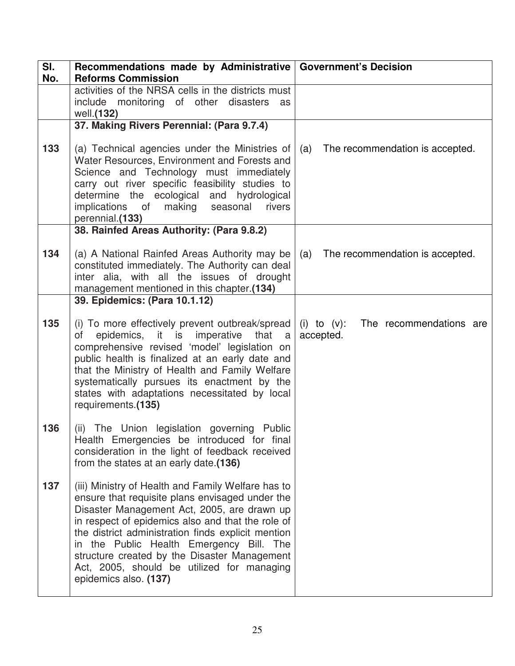| SI.<br>No. | Recommendations made by Administrative   Government's Decision<br><b>Reforms Commission</b>                                                                                                                                                                                                                                                                                                                                        |                                                     |
|------------|------------------------------------------------------------------------------------------------------------------------------------------------------------------------------------------------------------------------------------------------------------------------------------------------------------------------------------------------------------------------------------------------------------------------------------|-----------------------------------------------------|
|            | activities of the NRSA cells in the districts must<br>include monitoring of other disasters<br>as<br>well.(132)                                                                                                                                                                                                                                                                                                                    |                                                     |
|            | 37. Making Rivers Perennial: (Para 9.7.4)                                                                                                                                                                                                                                                                                                                                                                                          |                                                     |
| 133        | (a) Technical agencies under the Ministries of<br>Water Resources, Environment and Forests and<br>Science and Technology must immediately<br>carry out river specific feasibility studies to<br>determine the ecological and hydrological<br>making seasonal<br>implications of<br>rivers<br>perennial.(133)                                                                                                                       | The recommendation is accepted.<br>(a)              |
|            | 38. Rainfed Areas Authority: (Para 9.8.2)                                                                                                                                                                                                                                                                                                                                                                                          |                                                     |
| 134        | (a) A National Rainfed Areas Authority may be<br>constituted immediately. The Authority can deal<br>inter alia, with all the issues of drought<br>management mentioned in this chapter.(134)                                                                                                                                                                                                                                       | (a) The recommendation is accepted.                 |
|            | 39. Epidemics: (Para 10.1.12)                                                                                                                                                                                                                                                                                                                                                                                                      |                                                     |
| 135        | (i) To more effectively prevent outbreak/spread<br>of epidemics, it is imperative that a<br>comprehensive revised 'model' legislation on<br>public health is finalized at an early date and<br>that the Ministry of Health and Family Welfare<br>systematically pursues its enactment by the<br>states with adaptations necessitated by local<br>requirements.(135)                                                                | (i) to $(v)$ : The recommendations are<br>accepted. |
| 136        | (ii) The Union legislation governing Public<br>Health Emergencies be introduced for final<br>consideration in the light of feedback received<br>from the states at an early date.(136)                                                                                                                                                                                                                                             |                                                     |
| 137        | (iii) Ministry of Health and Family Welfare has to<br>ensure that requisite plans envisaged under the<br>Disaster Management Act, 2005, are drawn up<br>in respect of epidemics also and that the role of<br>the district administration finds explicit mention<br>in the Public Health Emergency Bill. The<br>structure created by the Disaster Management<br>Act, 2005, should be utilized for managing<br>epidemics also. (137) |                                                     |